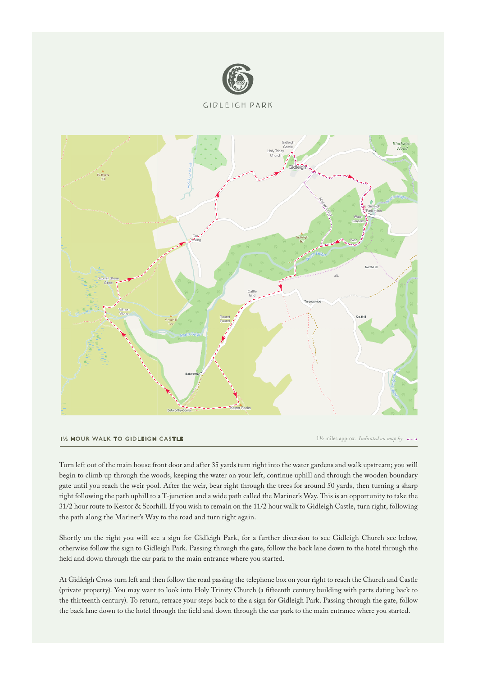



## 1½ HOUR WALK TO GIDLEIGH CASTLE

1½ miles approx. *Indicated on map by*

Turn left out of the main house front door and after 35 yards turn right into the water gardens and walk upstream; you will begin to climb up through the woods, keeping the water on your left, continue uphill and through the wooden boundary gate until you reach the weir pool. After the weir, bear right through the trees for around 50 yards, then turning a sharp right following the path uphill to a T-junction and a wide path called the Mariner's Way. This is an opportunity to take the 31/2 hour route to Kestor & Scorhill. If you wish to remain on the 11/2 hour walk to Gidleigh Castle, turn right, following the path along the Mariner's Way to the road and turn right again.

Shortly on the right you will see a sign for Gidleigh Park, for a further diversion to see Gidleigh Church see below, otherwise follow the sign to Gidleigh Park. Passing through the gate, follow the back lane down to the hotel through the field and down through the car park to the main entrance where you started.

At Gidleigh Cross turn left and then follow the road passing the telephone box on your right to reach the Church and Castle (private property). You may want to look into Holy Trinity Church (a fteenth century building with parts dating back to the thirteenth century). To return, retrace your steps back to the a sign for Gidleigh Park. Passing through the gate, follow the back lane down to the hotel through the field and down through the car park to the main entrance where you started.